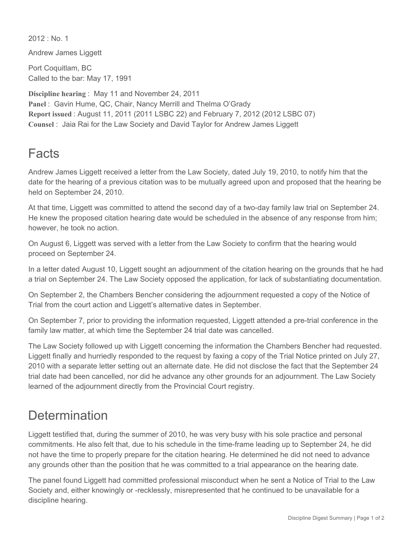$2012 \cdot$  No. 1

Andrew James Liggett

Port Coquitlam, BC Called to the bar: May 17, 1991

**Discipline hearing** : May 11 and November 24, 2011 **Panel** : Gavin Hume, QC, Chair, Nancy Merrill and Thelma O'Grady **Report issued** : August 11, 2011 (2011 LSBC 22) and February 7, 2012 (2012 LSBC 07) **Counsel** : Jaia Rai for the Law Society and David Taylor for Andrew James Liggett

## Facts

Andrew James Liggett received a letter from the Law Society, dated July 19, 2010, to notify him that the date for the hearing of a previous citation was to be mutually agreed upon and proposed that the hearing be held on September 24, 2010.

At that time, Liggett was committed to attend the second day of a two-day family law trial on September 24. He knew the proposed citation hearing date would be scheduled in the absence of any response from him; however, he took no action.

On August 6, Liggett was served with a letter from the Law Society to confirm that the hearing would proceed on September 24.

In a letter dated August 10, Liggett sought an adjournment of the citation hearing on the grounds that he had a trial on September 24. The Law Society opposed the application, for lack of substantiating documentation.

On September 2, the Chambers Bencher considering the adjournment requested a copy of the Notice of Trial from the court action and Liggett's alternative dates in September.

On September 7, prior to providing the information requested, Liggett attended a pre-trial conference in the family law matter, at which time the September 24 trial date was cancelled.

The Law Society followed up with Liggett concerning the information the Chambers Bencher had requested. Liggett finally and hurriedly responded to the request by faxing a copy of the Trial Notice printed on July 27, 2010 with a separate letter setting out an alternate date. He did not disclose the fact that the September 24 trial date had been cancelled, nor did he advance any other grounds for an adjournment. The Law Society learned of the adjournment directly from the Provincial Court registry.

## **Determination**

Liggett testified that, during the summer of 2010, he was very busy with his sole practice and personal commitments. He also felt that, due to his schedule in the time-frame leading up to September 24, he did not have the time to properly prepare for the citation hearing. He determined he did not need to advance any grounds other than the position that he was committed to a trial appearance on the hearing date.

The panel found Liggett had committed professional misconduct when he sent a Notice of Trial to the Law Society and, either knowingly or -recklessly, misrepresented that he continued to be unavailable for a discipline hearing.